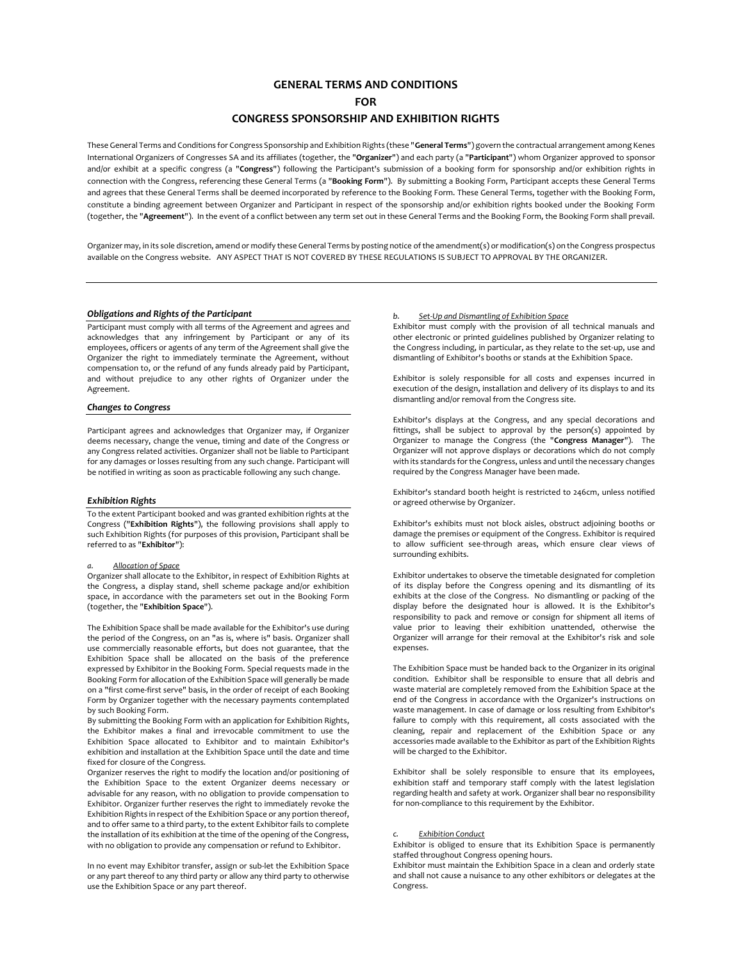# **GENERAL TERMS AND CONDITIONS**

**FOR**

# **CONGRESS SPONSORSHIP AND EXHIBITION RIGHTS**

These General Terms and Conditions for Congress Sponsorship and Exhibition Rights (these "**General Terms**") govern the contractual arrangement among Kenes International Organizers of Congresses SA and its affiliates (together, the "**Organizer**") and each party (a "**Participant**") whom Organizer approved to sponsor and/or exhibit at a specific congress (a "**Congress**") following the Participant's submission of a booking form for sponsorship and/or exhibition rights in connection with the Congress, referencing these General Terms (a "**Booking Form**"). By submitting a Booking Form, Participant accepts these General Terms and agrees that these General Terms shall be deemed incorporated by reference to the Booking Form. These General Terms, together with the Booking Form, constitute a binding agreement between Organizer and Participant in respect of the sponsorship and/or exhibition rights booked under the Booking Form (together, the "**Agreement**"). In the event of a conflict between any term set out in these General Terms and the Booking Form, the Booking Form shall prevail.

Organizer may, in its sole discretion, amend or modify these General Terms by posting notice of the amendment(s) or modification(s) on the Congress prospectus available on the Congress website. ANY ASPECT THAT IS NOT COVERED BY THESE REGULATIONS IS SUBJECT TO APPROVAL BY THE ORGANIZER.

## *Obligations and Rights of the Participant*

Participant must comply with all terms of the Agreement and agrees and acknowledges that any infringement by Participant or any of its employees, officers or agents of any term of the Agreement shall give the Organizer the right to immediately terminate the Agreement, without compensation to, or the refund of any funds already paid by Participant, and without prejudice to any other rights of Organizer under the Agreement.

### *Changes to Congress*

Participant agrees and acknowledges that Organizer may, if Organizer deems necessary, change the venue, timing and date of the Congress or any Congress related activities. Organizer shall not be liable to Participant for any damages or losses resulting from any such change. Participant will be notified in writing as soon as practicable following any such change.

### *Exhibition Rights*

To the extent Participant booked and was granted exhibition rights at the Congress ("**Exhibition Rights**"), the following provisions shall apply to such Exhibition Rights (for purposes of this provision, Participant shall be referred to as "**Exhibitor**"):

# *a. Allocation of Space*

Organizer shall allocate to the Exhibitor, in respect of Exhibition Rights at the Congress, a display stand, shell scheme package and/or exhibition space, in accordance with the parameters set out in the Booking Form (together, the "**Exhibition Space**").

The Exhibition Space shall be made available for the Exhibitor's use during the period of the Congress, on an "as is, where is" basis. Organizer shall use commercially reasonable efforts, but does not guarantee, that the Exhibition Space shall be allocated on the basis of the preference expressed by Exhibitor in the Booking Form. Special requests made in the Booking Form for allocation of the Exhibition Space will generally be made on a "first come-first serve" basis, in the order of receipt of each Booking Form by Organizer together with the necessary payments contemplated by such Booking Form.

By submitting the Booking Form with an application for Exhibition Rights, the Exhibitor makes a final and irrevocable commitment to use the Exhibition Space allocated to Exhibitor and to maintain Exhibitor's exhibition and installation at the Exhibition Space until the date and time fixed for closure of the Congress.

Organizer reserves the right to modify the location and/or positioning of the Exhibition Space to the extent Organizer deems necessary or advisable for any reason, with no obligation to provide compensation to Exhibitor. Organizer further reserves the right to immediately revoke the Exhibition Rights in respect of the Exhibition Space or any portion thereof, and to offer same to a third party, to the extent Exhibitor fails to complete the installation of its exhibition at the time of the opening of the Congress, with no obligation to provide any compensation or refund to Exhibitor.

In no event may Exhibitor transfer, assign or sub-let the Exhibition Space or any part thereof to any third party or allow any third party to otherwise use the Exhibition Space or any part thereof.

### *b. Set-Up and Dismantling of Exhibition Space*

Exhibitor must comply with the provision of all technical manuals and other electronic or printed guidelines published by Organizer relating to the Congress including, in particular, as they relate to the set-up, use and dismantling of Exhibitor's booths or stands at the Exhibition Space.

Exhibitor is solely responsible for all costs and expenses incurred in execution of the design, installation and delivery of its displays to and its dismantling and/or removal from the Congress site.

Exhibitor's displays at the Congress, and any special decorations and fittings, shall be subject to approval by the person(s) appointed by Organizer to manage the Congress (the "**Congress Manager**"). The Organizer will not approve displays or decorations which do not comply with its standards for the Congress, unless and until the necessary changes required by the Congress Manager have been made.

Exhibitor's standard booth height is restricted to 246cm, unless notified or agreed otherwise by Organizer.

Exhibitor's exhibits must not block aisles, obstruct adjoining booths or damage the premises or equipment of the Congress. Exhibitor is required to allow sufficient see-through areas, which ensure clear views of surrounding exhibits.

Exhibitor undertakes to observe the timetable designated for completion of its display before the Congress opening and its dismantling of its exhibits at the close of the Congress. No dismantling or packing of the display before the designated hour is allowed. It is the Exhibitor's responsibility to pack and remove or consign for shipment all items of value prior to leaving their exhibition unattended, otherwise the Organizer will arrange for their removal at the Exhibitor's risk and sole expenses.

The Exhibition Space must be handed back to the Organizer in its original condition. Exhibitor shall be responsible to ensure that all debris and waste material are completely removed from the Exhibition Space at the end of the Congress in accordance with the Organizer's instructions on waste management. In case of damage or loss resulting from Exhibitor's failure to comply with this requirement, all costs associated with the cleaning, repair and replacement of the Exhibition Space or any accessories made available to the Exhibitor as part of the Exhibition Rights will be charged to the Exhibitor.

Exhibitor shall be solely responsible to ensure that its employees, exhibition staff and temporary staff comply with the latest legislation regarding health and safety at work. Organizer shall bear no responsibility for non-compliance to this requirement by the Exhibitor.

### **Exhibition Conduct**

Exhibitor is obliged to ensure that its Exhibition Space is permanently staffed throughout Congress opening hours.

Exhibitor must maintain the Exhibition Space in a clean and orderly state and shall not cause a nuisance to any other exhibitors or delegates at the Congress.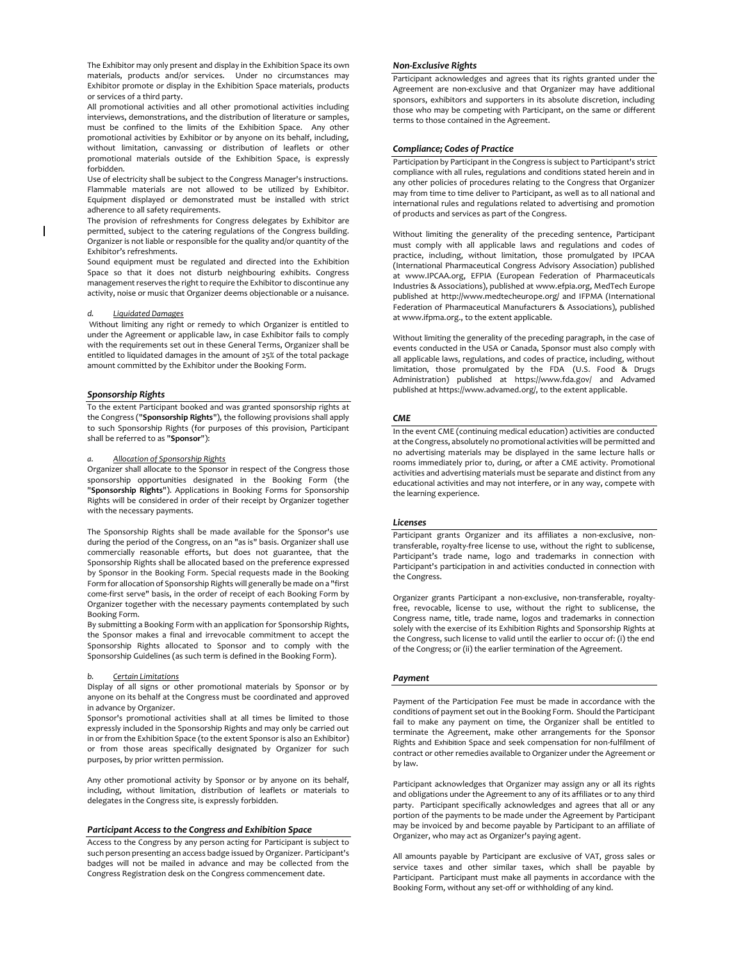The Exhibitor may only present and display in the Exhibition Space its own materials, products and/or services. Under no circumstances may Exhibitor promote or display in the Exhibition Space materials, products or services of a third party.

All promotional activities and all other promotional activities including interviews, demonstrations, and the distribution of literature or samples, must be confined to the limits of the Exhibition Space. Any other promotional activities by Exhibitor or by anyone on its behalf, including, without limitation, canvassing or distribution of leaflets or other promotional materials outside of the Exhibition Space, is expressly forbidden.

Use of electricity shall be subject to the Congress Manager's instructions. Flammable materials are not allowed to be utilized by Exhibitor. Equipment displayed or demonstrated must be installed with strict adherence to all safety requirements.

The provision of refreshments for Congress delegates by Exhibitor are permitted, subject to the catering regulations of the Congress building. Organizer is not liable or responsible for the quality and/or quantity of the Exhibitor's refreshments.

Sound equipment must be regulated and directed into the Exhibition Space so that it does not disturb neighbouring exhibits. Congress management reserves the right to require the Exhibitor to discontinue any activity, noise or music that Organizer deems objectionable or a nuisance.

#### *d. Liquidated Damages*

Without limiting any right or remedy to which Organizer is entitled to under the Agreement or applicable law, in case Exhibitor fails to comply with the requirements set out in these General Terms, Organizer shall be entitled to liquidated damages in the amount of 25% of the total package amount committed by the Exhibitor under the Booking Form.

## *Sponsorship Rights*

To the extent Participant booked and was granted sponsorship rights at the Congress ("**Sponsorship Rights**"), the following provisions shall apply to such Sponsorship Rights (for purposes of this provision, Participant shall be referred to as "**Sponsor**"):

### *a. Allocation of Sponsorship Rights*

Organizer shall allocate to the Sponsor in respect of the Congress those sponsorship opportunities designated in the Booking Form (the "**Sponsorship Rights**"). Applications in Booking Forms for Sponsorship Rights will be considered in order of their receipt by Organizer together with the necessary payments.

The Sponsorship Rights shall be made available for the Sponsor's use during the period of the Congress, on an "as is" basis. Organizer shall use commercially reasonable efforts, but does not guarantee, that the Sponsorship Rights shall be allocated based on the preference expressed by Sponsor in the Booking Form. Special requests made in the Booking Form for allocation of Sponsorship Rights will generally be made on a "first come-first serve" basis, in the order of receipt of each Booking Form by Organizer together with the necessary payments contemplated by such Booking Form.

By submitting a Booking Form with an application for Sponsorship Rights, the Sponsor makes a final and irrevocable commitment to accept the Sponsorship Rights allocated to Sponsor and to comply with the Sponsorship Guidelines (as such term is defined in the Booking Form).

# *b. Certain Limitations*

Display of all signs or other promotional materials by Sponsor or by anyone on its behalf at the Congress must be coordinated and approved in advance by Organizer.

Sponsor's promotional activities shall at all times be limited to those expressly included in the Sponsorship Rights and may only be carried out in or from the Exhibition Space (to the extent Sponsor is also an Exhibitor) or from those areas specifically designated by Organizer for such purposes, by prior written permission.

Any other promotional activity by Sponsor or by anyone on its behalf, including, without limitation, distribution of leaflets or materials to delegates in the Congress site, is expressly forbidden.

### *Participant Access to the Congress and Exhibition Space*

Access to the Congress by any person acting for Participant is subject to such person presenting an access badge issued by Organizer. Participant's badges will not be mailed in advance and may be collected from the Congress Registration desk on the Congress commencement date.

## *Non-Exclusive Rights*

Participant acknowledges and agrees that its rights granted under the Agreement are non-exclusive and that Organizer may have additional sponsors, exhibitors and supporters in its absolute discretion, including those who may be competing with Participant, on the same or different terms to those contained in the Agreement.

## *Compliance; Codes of Practice*

Participation by Participant in the Congress is subject to Participant's strict compliance with all rules, regulations and conditions stated herein and in any other policies of procedures relating to the Congress that Organizer may from time to time deliver to Participant, as well as to all national and international rules and regulations related to advertising and promotion of products and services as part of the Congress.

Without limiting the generality of the preceding sentence, Participant must comply with all applicable laws and regulations and codes of practice, including, without limitation, those promulgated by IPCAA (International Pharmaceutical Congress Advisory Association) published at [www.IPCAA.org,](http://www.ipcaa.org/) EFPIA (European Federation of Pharmaceuticals Industries & Associations), published a[t www.efpia.org,](http://www.efpia.org/) MedTech Europe published at http://www.medtecheurope.org/ and IFPMA (International Federation of Pharmaceutical Manufacturers & Associations), published a[t www.ifpma.org.,](http://www.ifpma.org/) to the extent applicable.

Without limiting the generality of the preceding paragraph, in the case of events conducted in the USA or Canada, Sponsor must also comply with all applicable laws, regulations, and codes of practice, including, without limitation, those promulgated by the FDA (U.S. Food & Drugs Administration) published at <https://www.fda.gov/> and Advamed published a[t https://www.advamed.org/,](https://www.advamed.org/) to the extent applicable.

# *CME*

In the event CME (continuing medical education) activities are conducted at the Congress, absolutely no promotional activities will be permitted and no advertising materials may be displayed in the same lecture halls or rooms immediately prior to, during, or after a CME activity. Promotional activities and advertising materials must be separate and distinct from any educational activities and may not interfere, or in any way, compete with the learning experience.

### *Licenses*

Participant grants Organizer and its affiliates a non-exclusive, nontransferable, royalty-free license to use, without the right to sublicense, Participant's trade name, logo and trademarks in connection with Participant's participation in and activities conducted in connection with the Congress.

Organizer grants Participant a non-exclusive, non-transferable, royaltyfree, revocable, license to use, without the right to sublicense, the Congress name, title, trade name, logos and trademarks in connection solely with the exercise of its Exhibition Rights and Sponsorship Rights at the Congress, such license to valid until the earlier to occur of: (i) the end of the Congress; or (ii) the earlier termination of the Agreement.

## *Payment*

Payment of the Participation Fee must be made in accordance with the conditions of payment set out in the Booking Form. Should the Participant fail to make any payment on time, the Organizer shall be entitled to terminate the Agreement, make other arrangements for the Sponsor Rights and Exhibition Space and seek compensation for non-fulfilment of contract or other remedies available to Organizer under the Agreement or by law.

Participant acknowledges that Organizer may assign any or all its rights and obligations under the Agreement to any of its affiliates or to any third party. Participant specifically acknowledges and agrees that all or any portion of the payments to be made under the Agreement by Participant may be invoiced by and become payable by Participant to an affiliate of Organizer, who may act as Organizer's paying agent.

All amounts payable by Participant are exclusive of VAT, gross sales or service taxes and other similar taxes, which shall be payable by Participant. Participant must make all payments in accordance with the Booking Form, without any set-off or withholding of any kind.